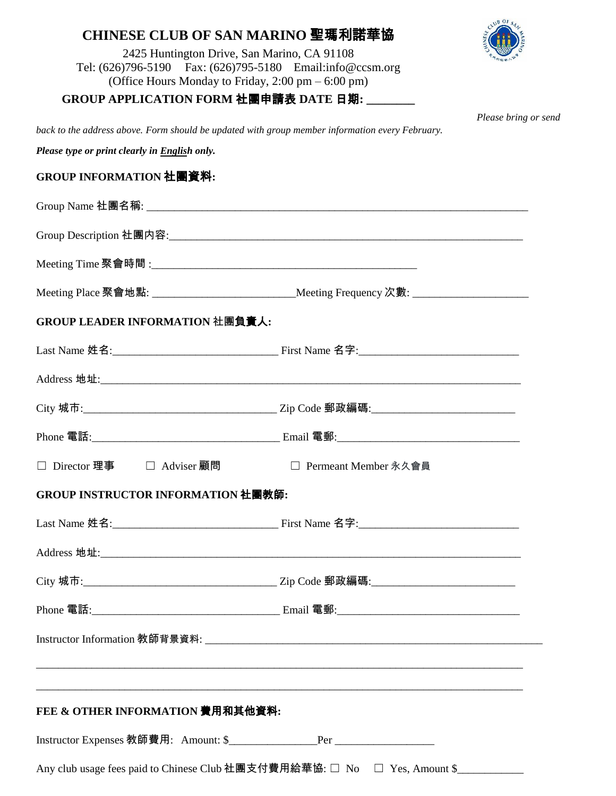# **CHINESE CLUB OF SAN MARINO** 聖瑪利諾華協



*Please bring or send* 

2425 Huntington Drive, San Marino, CA 91108 Tel: (626)796-5190 Fax: (626)795-5180 Email:info@ccsm.org (Office Hours Monday to Friday, 2:00 pm – 6:00 pm)

## **GROUP APPLICATION FORM** 社團申請表 **DATE** 日期**: \_\_\_\_\_\_\_\_**

*back to the address above. Form should be updated with group member information every February.*

*Please type or print clearly in English only.* 

### **GROUP INFORMATION** 社團資料**:**

|                                                                           | Meeting Place 聚會地點: ___________________________________Meeting Frequency 次數: ______________________ |
|---------------------------------------------------------------------------|-----------------------------------------------------------------------------------------------------|
| GROUP LEADER INFORMATION 社團負責人:                                           |                                                                                                     |
|                                                                           |                                                                                                     |
|                                                                           |                                                                                                     |
|                                                                           |                                                                                                     |
|                                                                           |                                                                                                     |
| □ Director 理事 □ Adviser 顧問                                                | □ Permeant Member 永久會員                                                                              |
| <b>GROUP INSTRUCTOR INFORMATION 社團教師:</b>                                 |                                                                                                     |
|                                                                           |                                                                                                     |
|                                                                           |                                                                                                     |
|                                                                           |                                                                                                     |
|                                                                           |                                                                                                     |
|                                                                           |                                                                                                     |
|                                                                           |                                                                                                     |
| FEE & OTHER INFORMATION 費用和其他資料:                                          |                                                                                                     |
|                                                                           |                                                                                                     |
| Any club usage fees paid to Chinese Club 社團支付費用給華協: □ No □ Yes, Amount \$ |                                                                                                     |